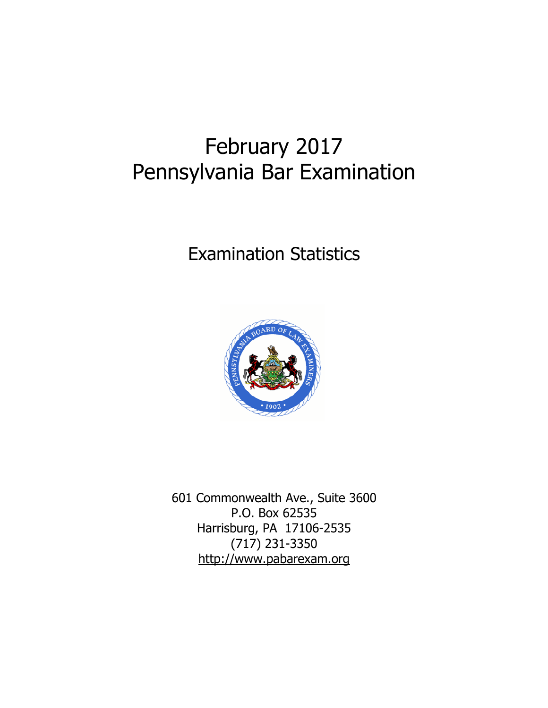# February 2017 Pennsylvania Bar Examination

# Examination Statistics



601 Commonwealth Ave., Suite 3600 P.O. Box 62535 Harrisburg, PA 17106-2535 (717) 231-3350 http://www.pabarexam.org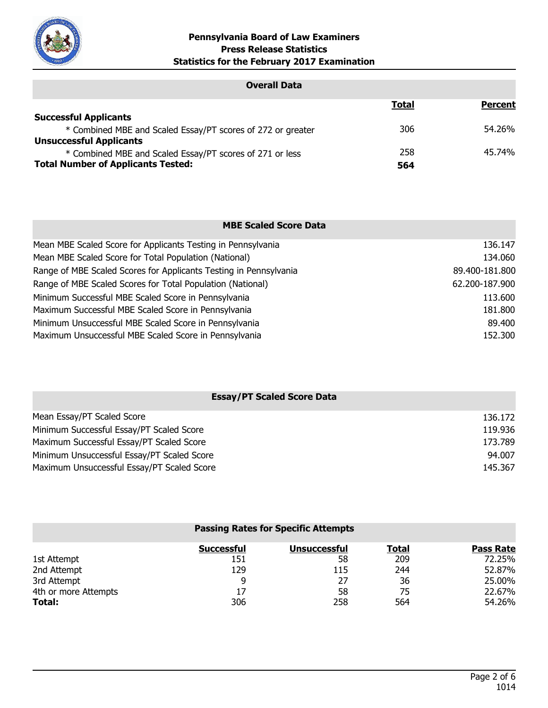

| <b>Overall Data</b>                                         |              |                |
|-------------------------------------------------------------|--------------|----------------|
|                                                             | <b>Total</b> | <b>Percent</b> |
| <b>Successful Applicants</b>                                |              |                |
| * Combined MBE and Scaled Essay/PT scores of 272 or greater | 306          | 54.26%         |
| <b>Unsuccessful Applicants</b>                              |              |                |
| * Combined MBE and Scaled Essay/PT scores of 271 or less    | 258          | 45.74%         |
| <b>Total Number of Applicants Tested:</b>                   | 564          |                |

| <b>MBE Scaled Score Data</b>                                      |                |
|-------------------------------------------------------------------|----------------|
| Mean MBE Scaled Score for Applicants Testing in Pennsylvania      | 136.147        |
| Mean MBE Scaled Score for Total Population (National)             | 134.060        |
| Range of MBE Scaled Scores for Applicants Testing in Pennsylvania | 89.400-181.800 |
| Range of MBE Scaled Scores for Total Population (National)        | 62.200-187.900 |
| Minimum Successful MBE Scaled Score in Pennsylvania               | 113.600        |
| Maximum Successful MBE Scaled Score in Pennsylvania               | 181.800        |
| Minimum Unsuccessful MBE Scaled Score in Pennsylvania             | 89,400         |
| Maximum Unsuccessful MBE Scaled Score in Pennsylvania             | 152,300        |

| <b>Essay/PT Scaled Score Data</b>          |         |  |
|--------------------------------------------|---------|--|
| Mean Essay/PT Scaled Score                 | 136.172 |  |
| Minimum Successful Essay/PT Scaled Score   | 119.936 |  |
| Maximum Successful Essay/PT Scaled Score   | 173.789 |  |
| Minimum Unsuccessful Essay/PT Scaled Score | 94.007  |  |
| Maximum Unsuccessful Essay/PT Scaled Score | 145.367 |  |

|                      |                   | <b>Passing Rates for Specific Attempts</b> |       |                  |
|----------------------|-------------------|--------------------------------------------|-------|------------------|
|                      | <b>Successful</b> | <b>Unsuccessful</b>                        | Total | <b>Pass Rate</b> |
| 1st Attempt          | 151               | 58                                         | 209   | 72.25%           |
| 2nd Attempt          | 129               | 115                                        | 244   | 52.87%           |
| 3rd Attempt          | 9                 | 27                                         | 36    | 25.00%           |
| 4th or more Attempts | 17                | 58                                         | 75    | 22.67%           |
| Total:               | 306               | 258                                        | 564   | 54.26%           |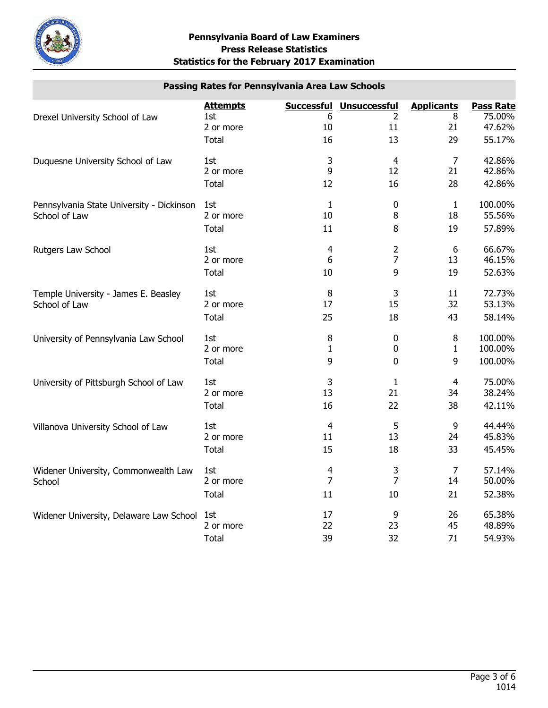

# **Passing Rates for Pennsylvania Area Law Schools**

|                                                | <b>Attempts</b> |                         | <b>Successful Unsuccessful</b> | <b>Applicants</b> | <b>Pass Rate</b> |
|------------------------------------------------|-----------------|-------------------------|--------------------------------|-------------------|------------------|
| Drexel University School of Law                | 1st             | 6<br>10                 | 2                              | 8<br>21           | 75.00%<br>47.62% |
|                                                | 2 or more       |                         | 11                             |                   |                  |
|                                                | <b>Total</b>    | 16                      | 13                             | 29                | 55.17%           |
| Duquesne University School of Law              | 1st             | 3                       | $\overline{4}$                 | $\overline{7}$    | 42.86%           |
|                                                | 2 or more       | 9                       | 12                             | 21                | 42.86%           |
|                                                | <b>Total</b>    | 12                      | 16                             | 28                | 42.86%           |
| Pennsylvania State University - Dickinson      | 1st             | $\mathbf{1}$            | $\mathbf 0$                    | $\mathbf{1}$      | 100.00%          |
| School of Law                                  | 2 or more       | 10                      | 8                              | 18                | 55.56%           |
|                                                | <b>Total</b>    | 11                      | 8                              | 19                | 57.89%           |
| Rutgers Law School                             | 1st             | $\overline{4}$          | 2                              | 6                 | 66.67%           |
|                                                | 2 or more       | 6                       | $\overline{7}$                 | 13                | 46.15%           |
|                                                | <b>Total</b>    | 10                      | 9                              | 19                | 52.63%           |
| Temple University - James E. Beasley           | 1st             | $\, 8$                  | 3                              | 11                | 72.73%           |
| School of Law                                  | 2 or more       | 17                      | 15                             | 32                | 53.13%           |
|                                                | Total           | 25                      | 18                             | 43                | 58.14%           |
| University of Pennsylvania Law School          | 1st             | 8                       | $\bf{0}$                       | 8                 | 100.00%          |
|                                                | 2 or more       | $\mathbf{1}$            | $\pmb{0}$                      | $\mathbf{1}$      | 100.00%          |
|                                                | <b>Total</b>    | 9                       | $\mathbf 0$                    | 9                 | 100.00%          |
| University of Pittsburgh School of Law         | 1st             | 3                       | $\mathbf{1}$                   | $\overline{4}$    | 75.00%           |
|                                                | 2 or more       | 13                      | 21                             | 34                | 38.24%           |
|                                                | <b>Total</b>    | 16                      | 22                             | 38                | 42.11%           |
| Villanova University School of Law             | 1st             | $\overline{4}$          | 5                              | 9                 | 44.44%           |
|                                                | 2 or more       | 11                      | 13                             | 24                | 45.83%           |
|                                                | Total           | 15                      | 18                             | 33                | 45.45%           |
| Widener University, Commonwealth Law<br>School | 1st             | $\overline{\mathbf{4}}$ | 3                              | $\overline{7}$    | 57.14%           |
|                                                | 2 or more       | $\overline{7}$          | $\overline{7}$                 | 14                | 50.00%           |
|                                                | <b>Total</b>    | 11                      | 10                             | 21                | 52.38%           |
| Widener University, Delaware Law School        | 1st             | 17                      | 9                              | 26                | 65.38%           |
|                                                | 2 or more       | 22                      | 23                             | 45                | 48.89%           |
|                                                | <b>Total</b>    | 39                      | 32                             | 71                | 54.93%           |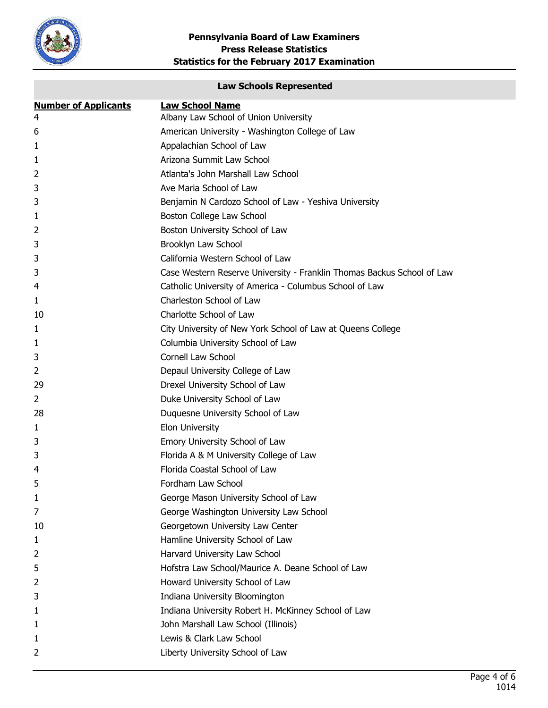

# **Law Schools Represented**

| <b>Number of Applicants</b> | <b>Law School Name</b>                                                 |
|-----------------------------|------------------------------------------------------------------------|
| 4                           | Albany Law School of Union University                                  |
| 6                           | American University - Washington College of Law                        |
| 1                           | Appalachian School of Law                                              |
| 1                           | Arizona Summit Law School                                              |
| 2                           | Atlanta's John Marshall Law School                                     |
| 3                           | Ave Maria School of Law                                                |
| 3                           | Benjamin N Cardozo School of Law - Yeshiva University                  |
| 1                           | Boston College Law School                                              |
| 2                           | Boston University School of Law                                        |
| 3                           | Brooklyn Law School                                                    |
| 3                           | California Western School of Law                                       |
| 3                           | Case Western Reserve University - Franklin Thomas Backus School of Law |
| 4                           | Catholic University of America - Columbus School of Law                |
| 1                           | Charleston School of Law                                               |
| 10                          | Charlotte School of Law                                                |
| 1                           | City University of New York School of Law at Queens College            |
| 1                           | Columbia University School of Law                                      |
| 3                           | <b>Cornell Law School</b>                                              |
| 2                           | Depaul University College of Law                                       |
| 29                          | Drexel University School of Law                                        |
| 2                           | Duke University School of Law                                          |
| 28                          | Duquesne University School of Law                                      |
| 1                           | Elon University                                                        |
| 3                           | Emory University School of Law                                         |
| 3                           | Florida A & M University College of Law                                |
| 4                           | Florida Coastal School of Law                                          |
| 5                           | Fordham Law School                                                     |
| 1                           | George Mason University School of Law                                  |
| 7                           | George Washington University Law School                                |
| 10                          | Georgetown University Law Center                                       |
| 1                           | Hamline University School of Law                                       |
| 2                           | Harvard University Law School                                          |
| 5                           | Hofstra Law School/Maurice A. Deane School of Law                      |
| 2                           | Howard University School of Law                                        |
| 3                           | Indiana University Bloomington                                         |
| 1                           | Indiana University Robert H. McKinney School of Law                    |
| 1                           | John Marshall Law School (Illinois)                                    |
| 1                           | Lewis & Clark Law School                                               |
| 2                           | Liberty University School of Law                                       |
|                             |                                                                        |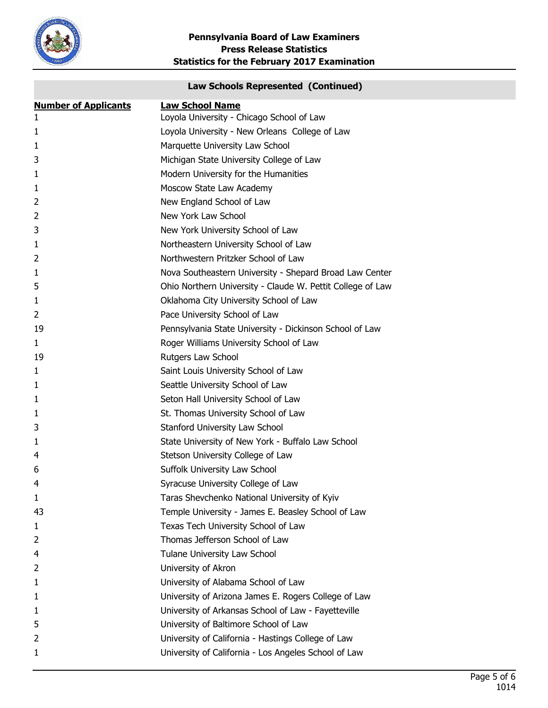

# **Law Schools Represented (Continued)**

| <b>Number of Applicants</b> | <b>Law School Name</b>                                     |
|-----------------------------|------------------------------------------------------------|
| 1                           | Loyola University - Chicago School of Law                  |
| 1                           | Loyola University - New Orleans College of Law             |
| 1                           | Marquette University Law School                            |
| 3                           | Michigan State University College of Law                   |
| 1                           | Modern University for the Humanities                       |
| 1                           | Moscow State Law Academy                                   |
| 2                           | New England School of Law                                  |
| 2                           | New York Law School                                        |
| 3                           | New York University School of Law                          |
| 1                           | Northeastern University School of Law                      |
| 2                           | Northwestern Pritzker School of Law                        |
| 1                           | Nova Southeastern University - Shepard Broad Law Center    |
| 5                           | Ohio Northern University - Claude W. Pettit College of Law |
| 1                           | Oklahoma City University School of Law                     |
| 2                           | Pace University School of Law                              |
| 19                          | Pennsylvania State University - Dickinson School of Law    |
| $\mathbf{1}$                | Roger Williams University School of Law                    |
| 19                          | Rutgers Law School                                         |
| 1                           | Saint Louis University School of Law                       |
| 1                           | Seattle University School of Law                           |
| $\mathbf{1}$                | Seton Hall University School of Law                        |
| 1                           | St. Thomas University School of Law                        |
| 3                           | Stanford University Law School                             |
| 1                           | State University of New York - Buffalo Law School          |
| 4                           | Stetson University College of Law                          |
| 6                           | Suffolk University Law School                              |
| 4                           | Syracuse University College of Law                         |
| 1                           | Taras Shevchenko National University of Kyiv               |
| 43                          | Temple University - James E. Beasley School of Law         |
| 1                           | Texas Tech University School of Law                        |
| 2                           | Thomas Jefferson School of Law                             |
| 4                           | Tulane University Law School                               |
| 2                           | University of Akron                                        |
| 1                           | University of Alabama School of Law                        |
| 1                           | University of Arizona James E. Rogers College of Law       |
| 1                           | University of Arkansas School of Law - Fayetteville        |
| 5                           | University of Baltimore School of Law                      |
| 2                           | University of California - Hastings College of Law         |
| 1                           | University of California - Los Angeles School of Law       |
|                             |                                                            |